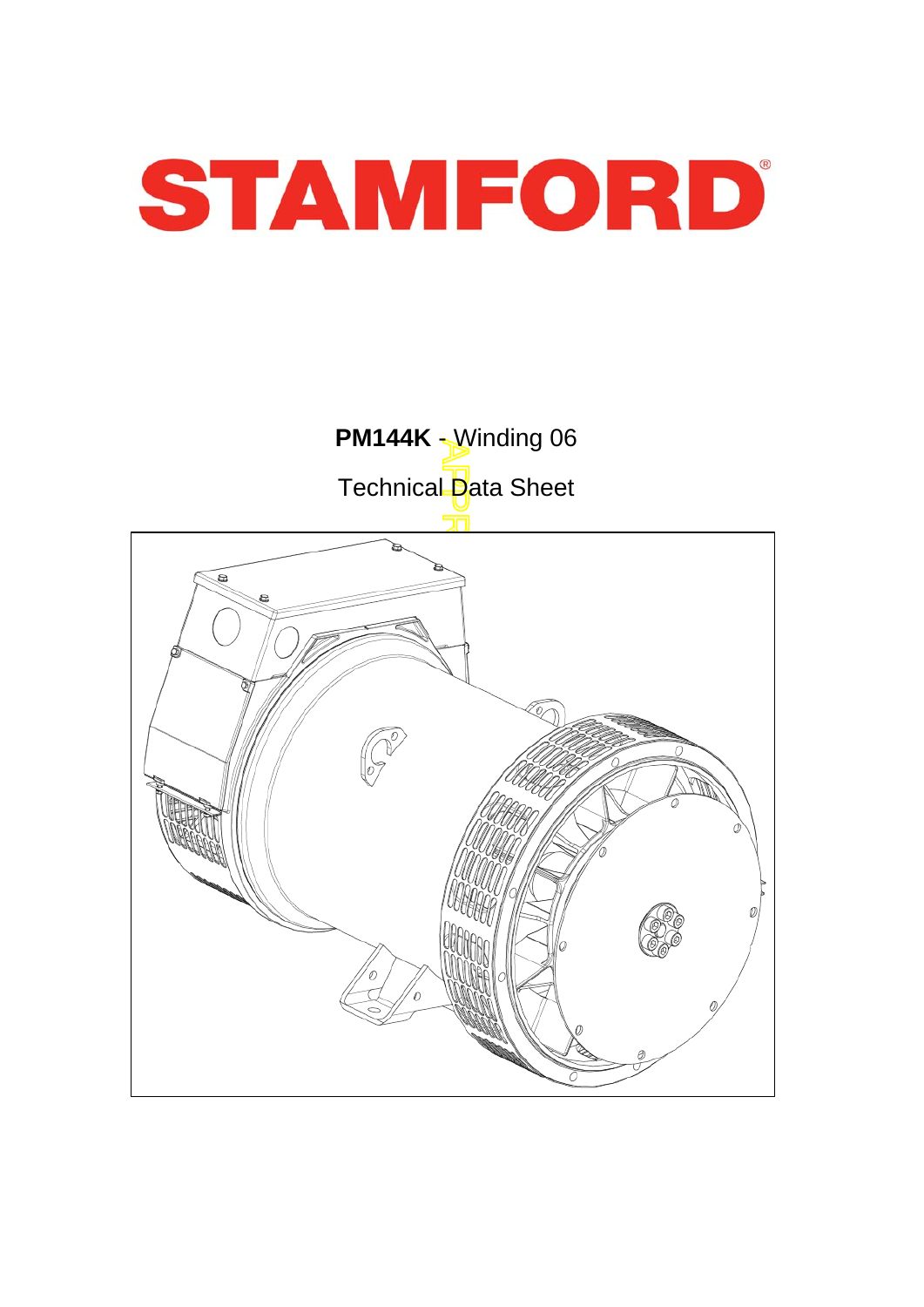

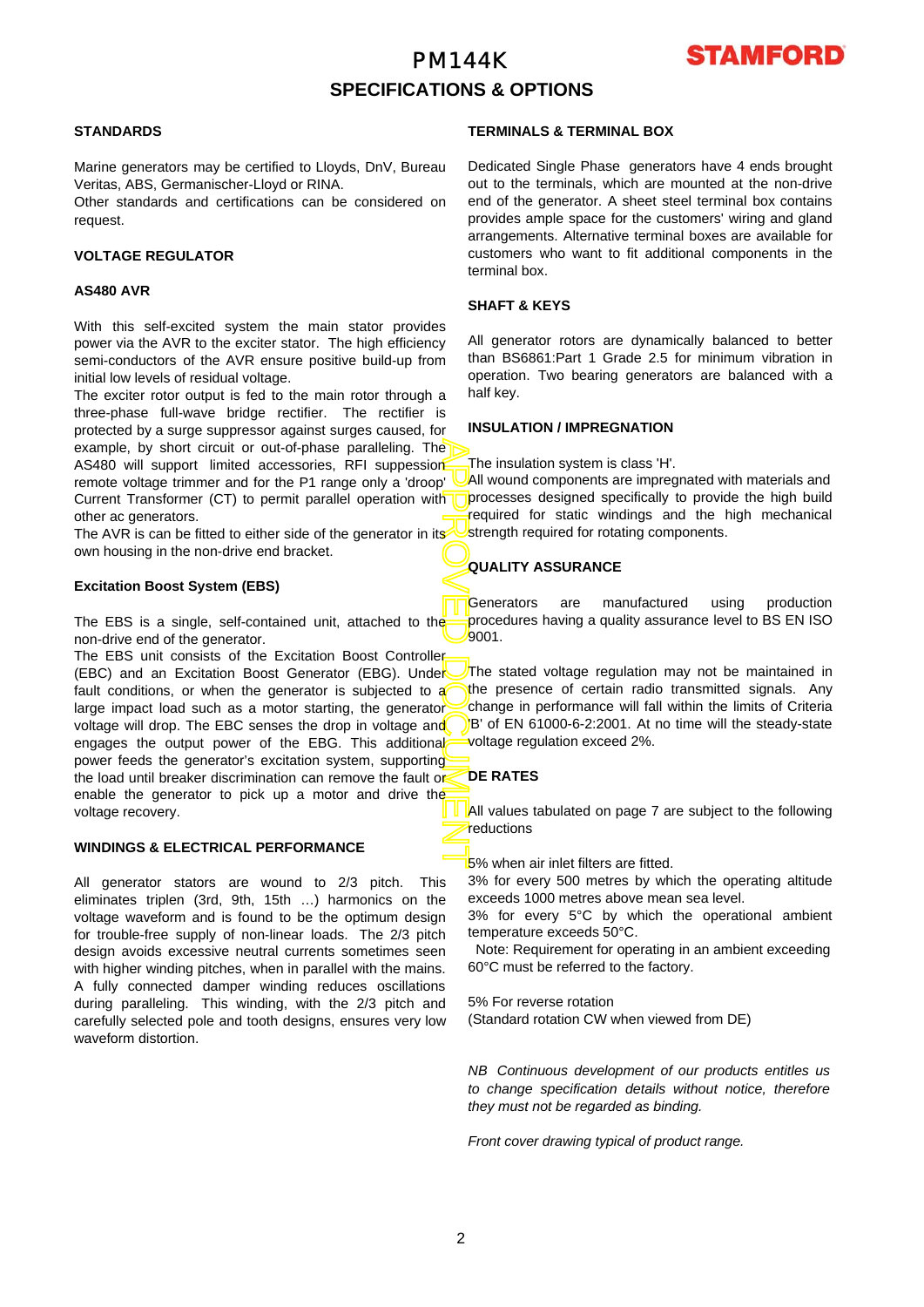# PM144K **SPECIFICATIONS & OPTIONS**



## **STANDARDS**

Marine generators may be certified to Lloyds, DnV, Bureau Veritas, ABS, Germanischer-Lloyd or RINA.

Other standards and certifications can be considered on request.

### **VOLTAGE REGULATOR**

### **AS480 AVR**

With this self-excited system the main stator provides power via the AVR to the exciter stator. The high efficiency semi-conductors of the AVR ensure positive build-up from initial low levels of residual voltage.

The exciter rotor output is fed to the main rotor through a three-phase full-wave bridge rectifier. The rectifier is protected by a surge suppressor against surges caused, fo r example, by short circuit or out-of-phase paralleling. The AS480 will support limited accessories, RFI suppession remote voltage trimmer and for the P1 range only a 'droop' Current Transformer (CT) to permit parallel operation with other ac generators.

The AVR is can be fitted to either side of the generator in its own housing in the non-drive end bracket.

### **Excitation Boost System (EBS)**

The EBS is a single, self-contained unit, attached to the non-drive end of the generator.

APPROVED DOCUMENT The EBS unit consists of the Excitation Boost Controller (EBC) and an Excitation Boost Generator (EBG). Under fault conditions, or when the generator is subjected to a large impact load such as a motor starting, the generator voltage will drop. The EBC senses the drop in voltage and engages the output power of the EBG. This additional power feeds the generator's excitation system, supporting the load until breaker discrimination can remove the fault or enable the generator to pick up a motor and drive the voltage recovery.

## **WINDINGS & ELECTRICAL PERFORMANCE**

All generator stators are wound to 2/3 pitch. This eliminates triplen (3rd, 9th, 15th …) harmonics on the voltage waveform and is found to be the optimum design for trouble-free supply of non-linear loads. The 2/3 pitch design avoids excessive neutral currents sometimes seen with higher winding pitches, when in parallel with the mains. A fully connected damper winding reduces oscillations during paralleling. This winding, with the 2/3 pitch and carefully selected pole and tooth designs, ensures very low waveform distortion.

## **TERMINALS & TERMINAL BOX**

Dedicated Single Phase generators have 4 ends brought out to the terminals, which are mounted at the non-drive end of the generator. A sheet steel terminal box contains provides ample space for the customers' wiring and gland arrangements. Alternative terminal boxes are available fo r customers who want to fit additional components in the terminal box.

## **SHAFT & KEYS**

All generator rotors are dynamically balanced to better than BS6861:Part 1 Grade 2.5 for minimum vibration in operation. Two bearing generators are balanced with a half key.

### **INSULATION / IMPREGNATION**

The insulation system is class 'H'.

All wound components are impregnated with materials and processes designed specifically to provide the high build required for static windings and the high mechanical strength required for rotating components.

## **QUALITY ASSURANCE**

Generators are manufactured using production procedures having a quality assurance level to BS EN ISO 9001.

The stated voltage regulation may not be maintained in the presence of certain radio transmitted signals. Any change in performance will fall within the limits of Criteria B' of EN 61000-6-2:2001. At no time will the steady-state voltage regulation exceed 2%.

## **DE RATES**

All values tabulated on page 7 are subject to the following reductions

5% when air inlet filters are fitted.

3% for every 500 metres by which the operating altitude exceeds 1000 metres above mean sea level.

3% for every 5°C by which the operational ambient temperature exceeds 50°C.

 Note: Requirement for operating in an ambient exceeding 60°C must be referred to the factory.

5% For reverse rotation (Standard rotation CW when viewed from DE)

*NB Continuous development of our products entitles us to change specification details without notice, therefore they must not be regarded as binding.* 

*Front cover drawing typical of product range.*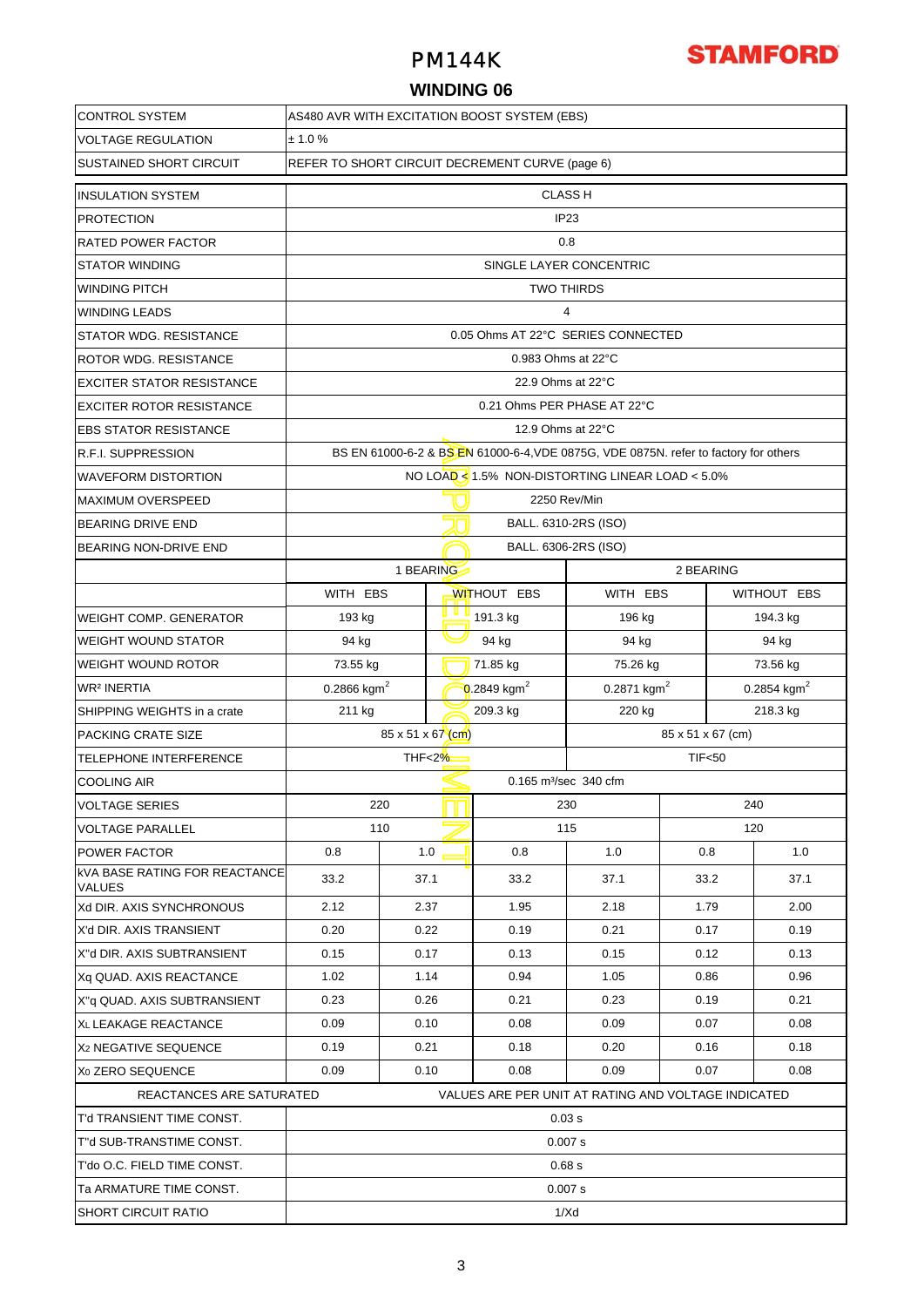# PM144K

# **STAMFORD**

## **WINDING 06**

| <b>CONTROL SYSTEM</b>                                 | AS480 AVR WITH EXCITATION BOOST SYSTEM (EBS)        |                                                                                      |           |                         |                         |             |                         |          |  |  |  |  |
|-------------------------------------------------------|-----------------------------------------------------|--------------------------------------------------------------------------------------|-----------|-------------------------|-------------------------|-------------|-------------------------|----------|--|--|--|--|
| <b>VOLTAGE REGULATION</b>                             | ± 1.0%                                              |                                                                                      |           |                         |                         |             |                         |          |  |  |  |  |
| <b>SUSTAINED SHORT CIRCUIT</b>                        |                                                     | REFER TO SHORT CIRCUIT DECREMENT CURVE (page 6)                                      |           |                         |                         |             |                         |          |  |  |  |  |
| <b>INSULATION SYSTEM</b>                              |                                                     |                                                                                      |           |                         | <b>CLASS H</b>          |             |                         |          |  |  |  |  |
| <b>PROTECTION</b>                                     |                                                     | IP <sub>23</sub>                                                                     |           |                         |                         |             |                         |          |  |  |  |  |
| <b>RATED POWER FACTOR</b>                             | 0.8                                                 |                                                                                      |           |                         |                         |             |                         |          |  |  |  |  |
| <b>STATOR WINDING</b>                                 |                                                     | SINGLE LAYER CONCENTRIC                                                              |           |                         |                         |             |                         |          |  |  |  |  |
| <b>WINDING PITCH</b>                                  |                                                     | <b>TWO THIRDS</b>                                                                    |           |                         |                         |             |                         |          |  |  |  |  |
| <b>WINDING LEADS</b>                                  | $\overline{4}$                                      |                                                                                      |           |                         |                         |             |                         |          |  |  |  |  |
| <b>STATOR WDG. RESISTANCE</b>                         | 0.05 Ohms AT 22°C SERIES CONNECTED                  |                                                                                      |           |                         |                         |             |                         |          |  |  |  |  |
| <b>ROTOR WDG, RESISTANCE</b>                          | 0.983 Ohms at 22°C                                  |                                                                                      |           |                         |                         |             |                         |          |  |  |  |  |
| <b>EXCITER STATOR RESISTANCE</b>                      | 22.9 Ohms at 22°C                                   |                                                                                      |           |                         |                         |             |                         |          |  |  |  |  |
| <b>EXCITER ROTOR RESISTANCE</b>                       | 0.21 Ohms PER PHASE AT 22°C                         |                                                                                      |           |                         |                         |             |                         |          |  |  |  |  |
| <b>EBS STATOR RESISTANCE</b>                          | 12.9 Ohms at 22°C                                   |                                                                                      |           |                         |                         |             |                         |          |  |  |  |  |
| <b>R.F.I. SUPPRESSION</b>                             |                                                     | BS EN 61000-6-2 & BS EN 61000-6-4, VDE 0875G, VDE 0875N. refer to factory for others |           |                         |                         |             |                         |          |  |  |  |  |
| <b>WAVEFORM DISTORTION</b>                            |                                                     | NO LOAD $< 1.5\%$ NON-DISTORTING LINEAR LOAD $< 5.0\%$                               |           |                         |                         |             |                         |          |  |  |  |  |
| <b>MAXIMUM OVERSPEED</b>                              | 2250 Rev/Min                                        |                                                                                      |           |                         |                         |             |                         |          |  |  |  |  |
| <b>BEARING DRIVE END</b>                              |                                                     | BALL. 6310-2RS (ISO)                                                                 |           |                         |                         |             |                         |          |  |  |  |  |
| <b>BEARING NON-DRIVE END</b>                          |                                                     |                                                                                      |           |                         | BALL. 6306-2RS (ISO)    |             |                         |          |  |  |  |  |
|                                                       |                                                     |                                                                                      | 1 BEARING |                         |                         | 2 BEARING   |                         |          |  |  |  |  |
|                                                       | WITH EBS                                            |                                                                                      |           | <b>WITHOUT EBS</b>      | WITH EBS                | WITHOUT EBS |                         |          |  |  |  |  |
| <b>WEIGHT COMP. GENERATOR</b>                         | 193 kg                                              |                                                                                      | 191.3 kg  |                         | 196 kg                  |             | 194.3 kg                |          |  |  |  |  |
| <b>WEIGHT WOUND STATOR</b>                            | 94 kg                                               |                                                                                      |           | 94 kg                   | 94 kg                   |             | 94 kg                   |          |  |  |  |  |
| <b>WEIGHT WOUND ROTOR</b>                             | 73.55 kg                                            |                                                                                      |           | 71.85 kg                | 75.26 kg                |             | 73.56 kg                |          |  |  |  |  |
| <b>WR<sup>2</sup> INERTIA</b>                         | 0.2866 kgm <sup>2</sup>                             |                                                                                      |           | 0.2849 kgm <sup>2</sup> | 0.2871 kgm <sup>2</sup> |             | 0.2854 kgm <sup>2</sup> |          |  |  |  |  |
| SHIPPING WEIGHTS in a crate                           | 211 kg                                              |                                                                                      |           | 209.3 kg                | 220 kg                  |             |                         | 218.3 kg |  |  |  |  |
| PACKING CRATE SIZE                                    | 85 x 51 x 67 (cm)<br>85 x 51 x 67 (cm)              |                                                                                      |           |                         |                         |             |                         |          |  |  |  |  |
| TELEPHONE INTERFERENCE                                | THF<2%<br>TIF <sub>50</sub>                         |                                                                                      |           |                         |                         |             |                         |          |  |  |  |  |
| <b>COOLING AIR</b>                                    | 0.165 m <sup>3</sup> /sec 340 cfm                   |                                                                                      |           |                         |                         |             |                         |          |  |  |  |  |
| <b>VOLTAGE SERIES</b>                                 |                                                     | 220                                                                                  |           |                         | 230                     |             |                         | 240      |  |  |  |  |
| <b>VOLTAGE PARALLEL</b>                               |                                                     | 110                                                                                  |           |                         | 115                     |             | 120                     |          |  |  |  |  |
| <b>POWER FACTOR</b>                                   | 0.8                                                 |                                                                                      | 1.0       | 0.8                     | 1.0                     | 0.8         |                         | 1.0      |  |  |  |  |
| <b>kVA BASE RATING FOR REACTANCE</b><br><b>VALUES</b> | 33.2                                                |                                                                                      | 37.1      | 33.2                    | 37.1                    | 33.2        |                         | 37.1     |  |  |  |  |
| Xd DIR. AXIS SYNCHRONOUS                              | 2.12                                                |                                                                                      | 2.37      | 1.95                    | 2.18                    | 1.79        |                         | 2.00     |  |  |  |  |
| X'd DIR. AXIS TRANSIENT                               | 0.20                                                |                                                                                      | 0.22      | 0.19                    | 0.21                    | 0.17        |                         | 0.19     |  |  |  |  |
| X"d DIR. AXIS SUBTRANSIENT                            | 0.15                                                |                                                                                      | 0.17      | 0.13                    | 0.15                    | 0.12        |                         | 0.13     |  |  |  |  |
| Xq QUAD. AXIS REACTANCE                               | 1.02                                                |                                                                                      | 1.14      | 0.94                    | 1.05                    | 0.86        |                         | 0.96     |  |  |  |  |
| X"q QUAD. AXIS SUBTRANSIENT                           | 0.23                                                |                                                                                      | 0.26      | 0.21                    | 0.23                    | 0.19        |                         | 0.21     |  |  |  |  |
| XL LEAKAGE REACTANCE                                  | 0.09                                                | 0.10                                                                                 |           | 0.08                    | 0.09                    | 0.07        |                         | 0.08     |  |  |  |  |
| X <sub>2</sub> NEGATIVE SEQUENCE                      | 0.19                                                |                                                                                      | 0.21      | 0.18                    | 0.20                    | 0.16        |                         | 0.18     |  |  |  |  |
| X <sub>0</sub> ZERO SEQUENCE                          | 0.09                                                | 0.10                                                                                 |           | 0.08                    | 0.09                    |             | 0.07                    | 0.08     |  |  |  |  |
| REACTANCES ARE SATURATED                              | VALUES ARE PER UNIT AT RATING AND VOLTAGE INDICATED |                                                                                      |           |                         |                         |             |                         |          |  |  |  |  |
| T'd TRANSIENT TIME CONST.<br>0.03 s                   |                                                     |                                                                                      |           |                         |                         |             |                         |          |  |  |  |  |
| T"d SUB-TRANSTIME CONST.                              | 0.007 s                                             |                                                                                      |           |                         |                         |             |                         |          |  |  |  |  |
| T'do O.C. FIELD TIME CONST.                           | 0.68 s                                              |                                                                                      |           |                         |                         |             |                         |          |  |  |  |  |
| Ta ARMATURE TIME CONST.                               | 0.007 s                                             |                                                                                      |           |                         |                         |             |                         |          |  |  |  |  |
| <b>SHORT CIRCUIT RATIO</b>                            | 1/Xd                                                |                                                                                      |           |                         |                         |             |                         |          |  |  |  |  |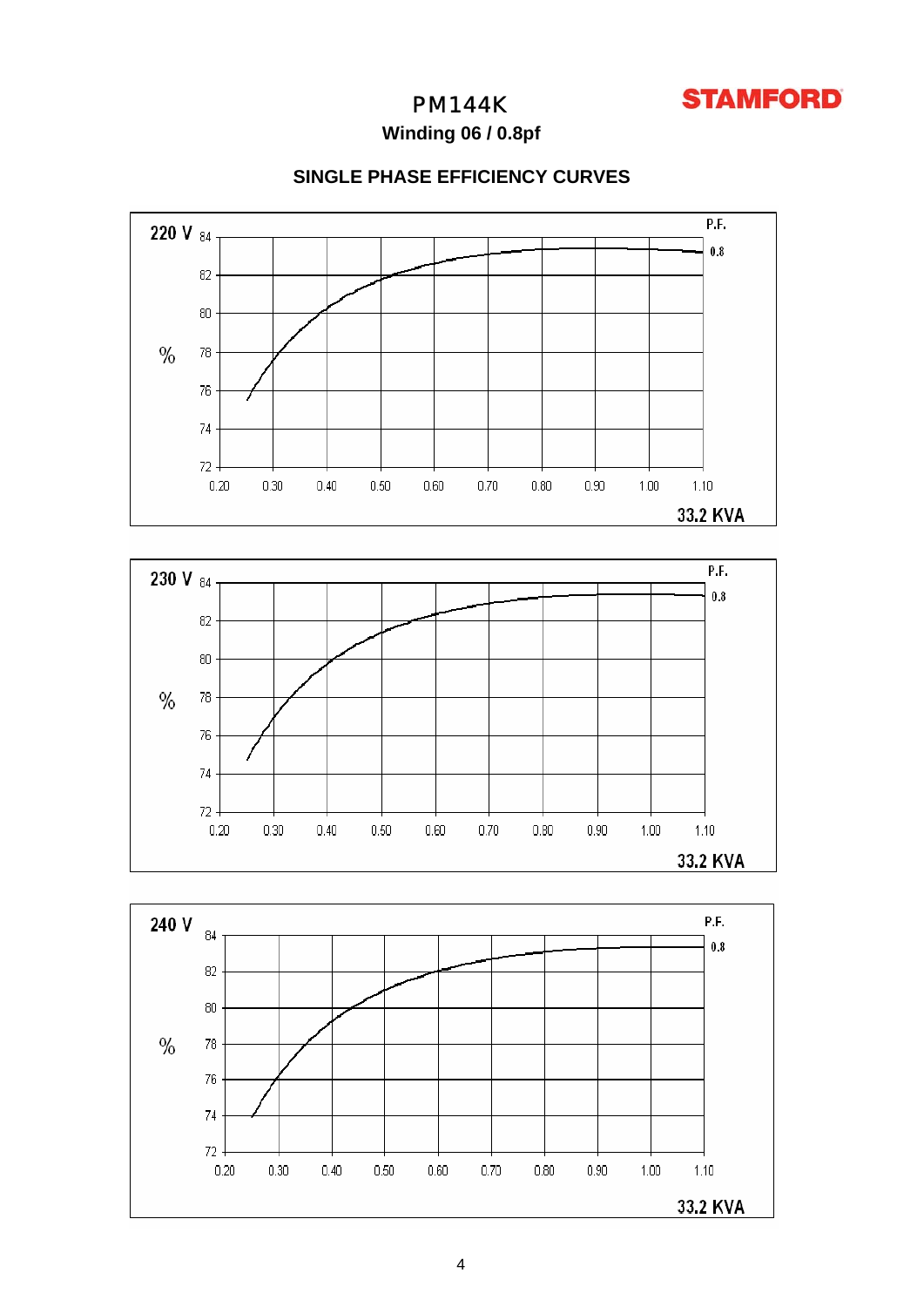

## PM144K

**Winding 06 / 0.8pf**



## **SINGLE PHASE EFFICIENCY CURVES**



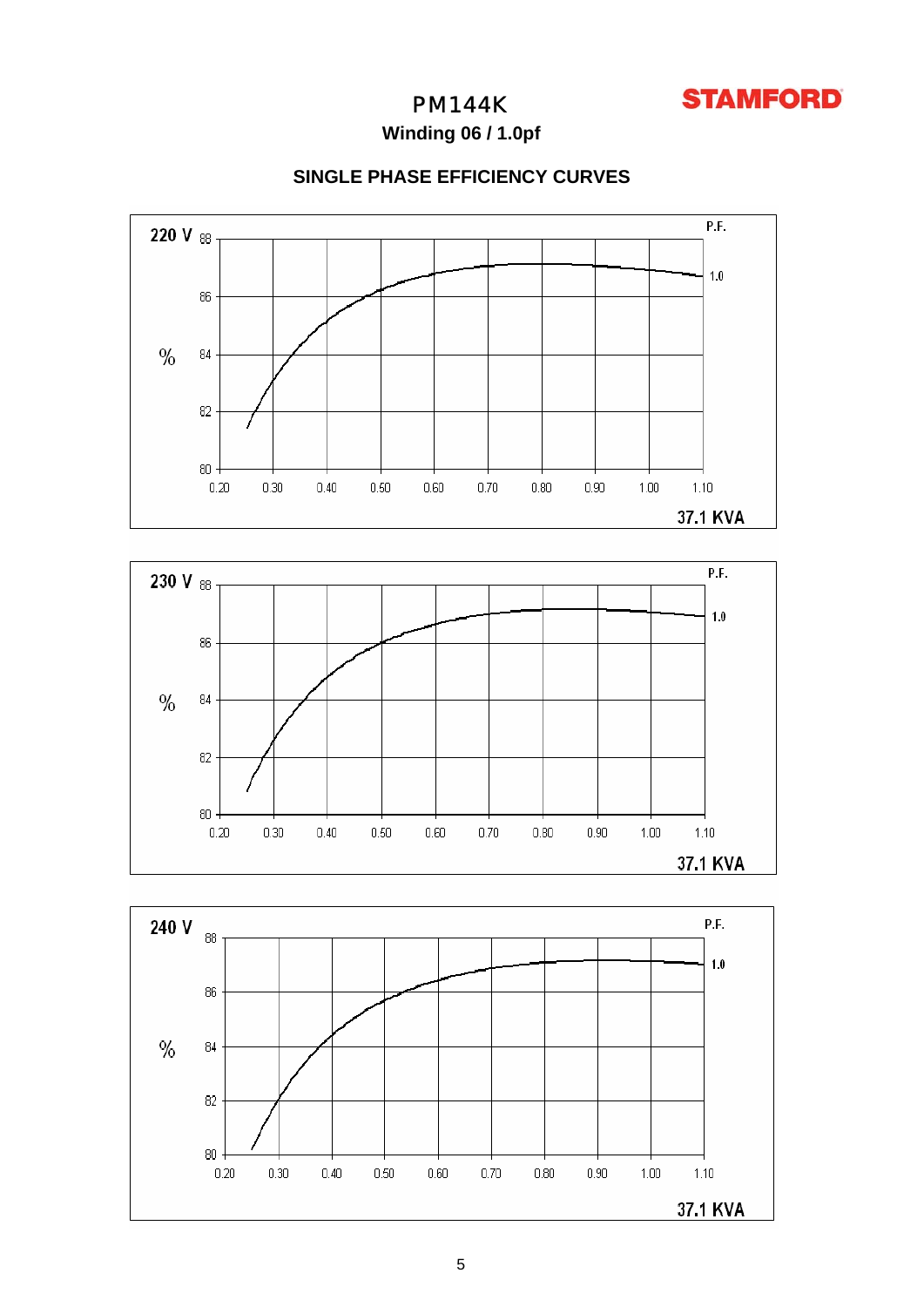

# PM144K

**Winding 06 / 1.0pf**

## **SINGLE PHASE EFFICIENCY CURVES**





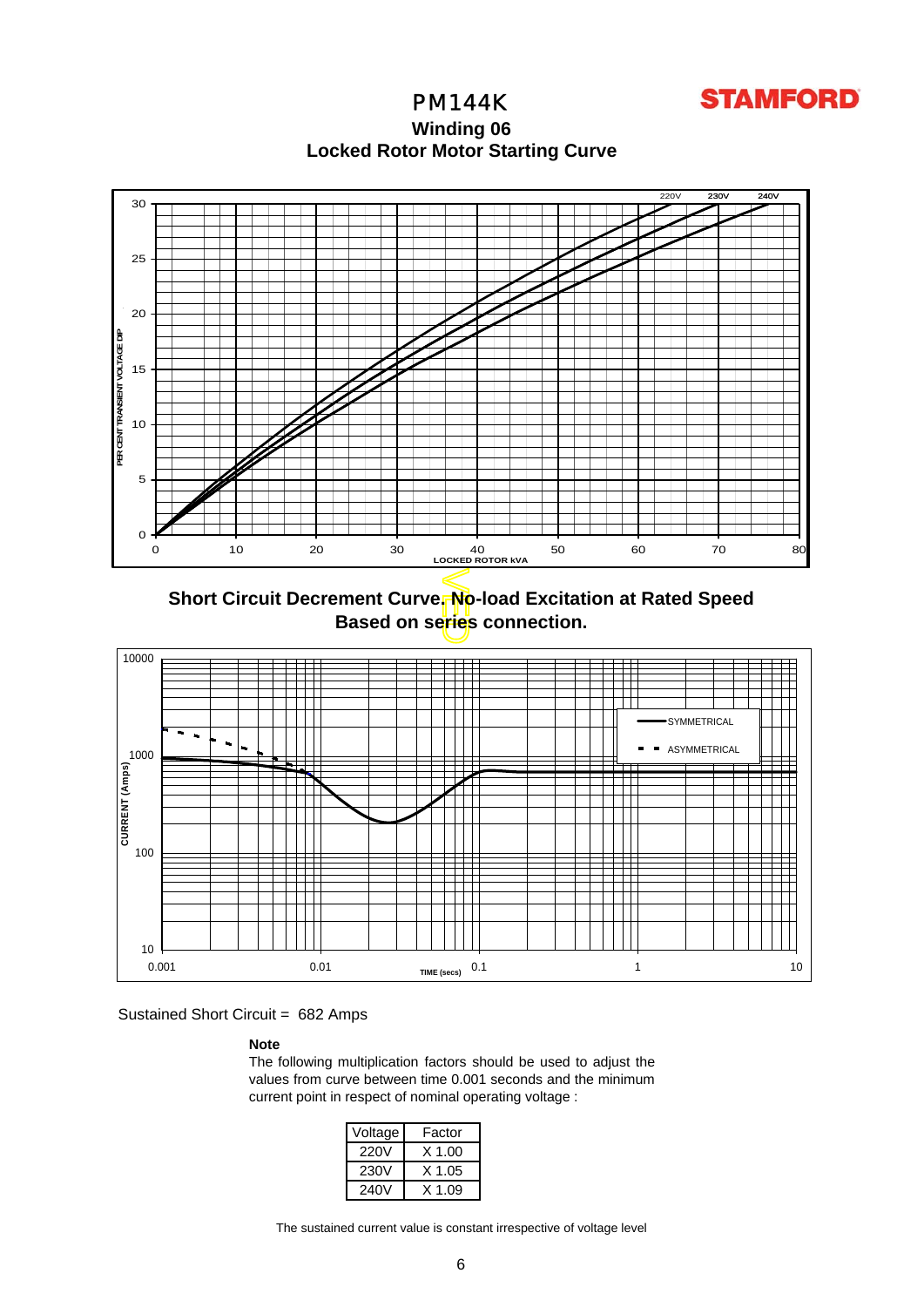

PM144K **Winding 06 Locked Rotor Motor Startin g Curve**



**Short Circuit Decrement Curve. No-load Excitation at Rated Speed Based on series connection.**



Sustained Short Circuit = 682 Amps

## **Note**

The following multiplication factors should be used to adjust the values from curve between time 0.001 seconds and the minimum current point in respect of nominal operating voltage :

| Voltage | Factor   |
|---------|----------|
| 220V    | $X$ 1.00 |
| 230V    | X 1.05   |
| 240V    | X 1 09   |

The sustained current value is constant irrespective of voltage level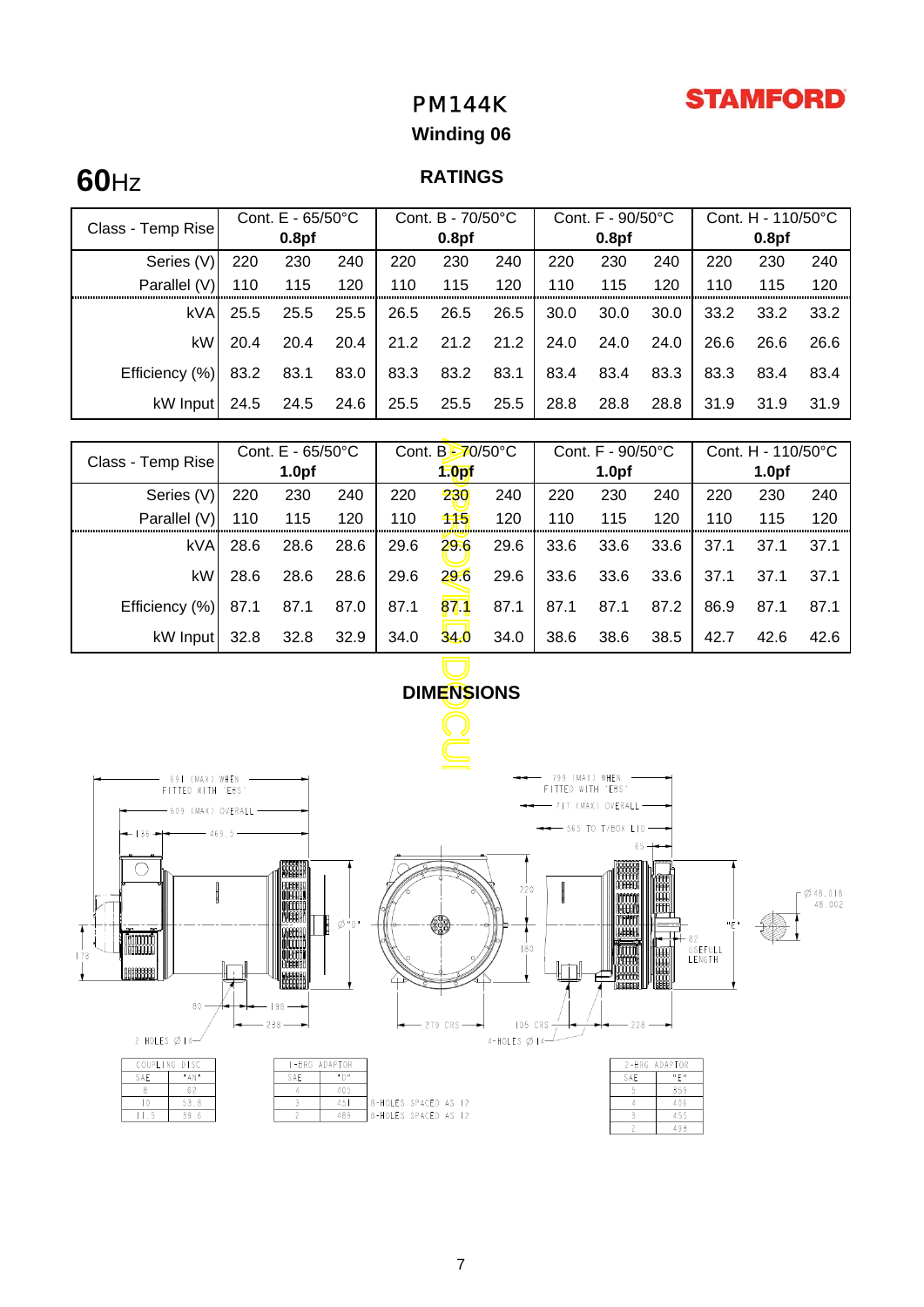# **STAMFORD**

# PM144K

# **Winding 06**

# **60**Hz

# **RATINGS**

| Class - Temp Rise | Cont. $E - 65/50^{\circ}C$ |                   |      | Cont. B - 70/50°C |                   |      | Cont. $F - 90/50^{\circ}C$ |                   |      | Cont. H - 110/50°C |                   |      |
|-------------------|----------------------------|-------------------|------|-------------------|-------------------|------|----------------------------|-------------------|------|--------------------|-------------------|------|
|                   |                            | 0.8 <sub>pf</sub> |      |                   | 0.8 <sub>pf</sub> |      |                            | 0.8 <sub>pf</sub> |      |                    | 0.8 <sub>pf</sub> |      |
| Series (V)        | 220                        | 230               | 240  | 220               | 230               | 240  | 220                        | 230               | 240  | 220                | 230               | 240  |
| Parallel (V)      | 110                        | 115               | 120  | 110               | 115               | 120  | 110                        | 115               | 120  | 110                | 115               | 120  |
| kVA               | 25.5                       | 25.5              | 25.5 | 26.5              | 26.5              | 26.5 | 30.0                       | 30.0              | 30.0 | 33.2               | 33.2              | 33.2 |
| kW                | 20.4                       | 20.4              | 20.4 | 21.2              | 21.2              | 21.2 | 24.0                       | 24.0              | 24.0 | 26.6               | 26.6              | 26.6 |
| Efficiency (%)    | 83.2                       | 83.1              | 83.0 | 83.3              | 83.2              | 83.1 | 83.4                       | 83.4              | 83.3 | 83.3               | 83.4              | 83.4 |
| kW Input          | 24.5                       | 24.5              | 24.6 | 25.5              | 25.5              | 25.5 | 28.8                       | 28.8              | 28.8 | 31.9               | 31.9              | 31.9 |

| Class - Temp Rise                    | Cont. E - 65/50°C |                   |      | Cont. B-70/50°C |                   |      | Cont. F - 90/50°C                   |                       |        | Cont. H - 110/50°C |                   |      |
|--------------------------------------|-------------------|-------------------|------|-----------------|-------------------|------|-------------------------------------|-----------------------|--------|--------------------|-------------------|------|
|                                      |                   | 1.0 <sub>pf</sub> |      |                 | 1.0 <sub>pf</sub> |      |                                     | 1.0 <sub>pf</sub>     |        |                    | 1.0 <sub>pf</sub> |      |
| Series (V)                           | 220               | 230               | 240  | 220             | 230               | 240  | 220                                 | 230                   | 240    | 220                | 230               | 240  |
| Parallel (V)                         | 110               | 115               | 120  | 110             | 115               | 120  | 110                                 | 115                   | 120    | 110                | 115               | 120  |
| kVA                                  | 28.6              | 28.6              | 28.6 | 29.6            | 29.6              | 29.6 | 33.6                                | 33.6                  | 33.6   | 37.1               | 37.1              | 37.1 |
| kW                                   | 28.6              | 28.6              | 28.6 | 29.6            | 29.6              | 29.6 | 33.6                                | 33.6                  | 33.6   | 37.1               | 37.1              | 37.1 |
| Efficiency (%)                       | 87.1              | 87.1              | 87.0 | 87.1            | 871               | 87.1 | 87.1                                | 87.1                  | 87.2   | 86.9               | 87.1              | 87.1 |
| kW Input                             | 32.8              | 32.8              | 32.9 | 34.0            | 34.0              | 34.0 | 38.6                                | 38.6                  | 38.5   | 42.7               | 42.6              | 42.6 |
|                                      |                   |                   |      |                 |                   |      |                                     |                       |        |                    |                   |      |
|                                      |                   |                   |      |                 | <b>DIMENSIONS</b> |      |                                     |                       |        |                    |                   |      |
|                                      |                   |                   |      |                 |                   |      |                                     |                       |        |                    |                   |      |
|                                      |                   |                   |      |                 |                   |      |                                     |                       |        |                    |                   |      |
| 69   (MAX) WHEN<br>FITTED WITH 'EBS' |                   |                   |      |                 |                   |      | 799 (MAX) WHEN<br>FITTED WITH 'EBS' |                       |        |                    |                   |      |
| 609 (MAX) OVERALL                    |                   |                   |      |                 |                   |      |                                     | - 717 (MAX) OVERALL-  |        |                    |                   |      |
| ਿ ∃ୋ →                               | 469,5             |                   |      |                 |                   |      |                                     | $-$ 565 TO T/BOX LID- |        |                    |                   |      |
|                                      |                   | <b>CRASSER</b>    |      |                 |                   |      |                                     | goodgoo ITIL F        | $65 +$ |                    |                   |      |